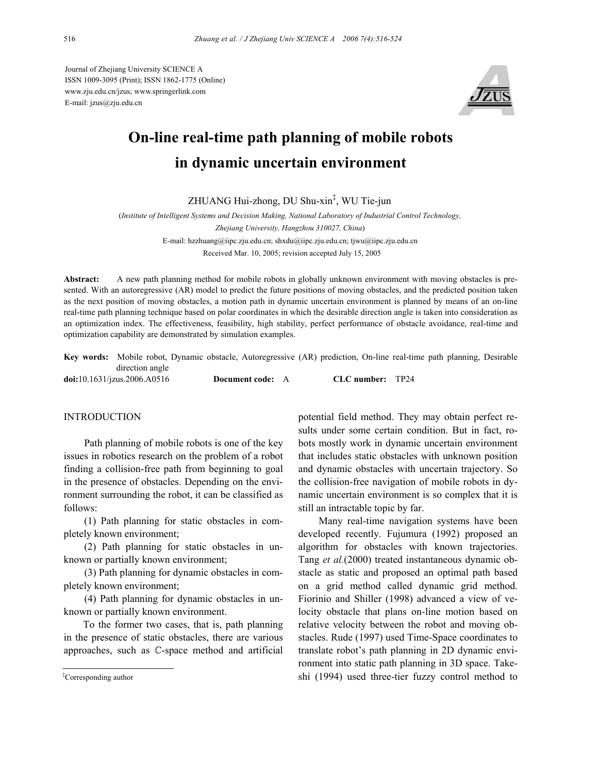Journal of Zhejiang University SCIENCE A ISSN 1009-3095 (Print); ISSN 1862-1775 (Online) www.zju.edu.cn/jzus; www.springerlink.com E-mail: jzus@zju.edu.cn



# **On-line real-time path planning of mobile robots in dynamic uncertain environment**

ZHUANG Hui-zhong, DU Shu-xin‡ , WU Tie-jun

(*Institute of Intelligent Systems and Decision Making, National Laboratory of Industrial Control Technology, Zhejiang University, Hangzhou 310027, China*) E-mail: hzzhuang@iipc.zju.edu.cn; shxdu@iipc.zju.edu.cn; tjwu@iipc.zju.edu.cn Received Mar. 10, 2005; revision accepted July 15, 2005

**Abstract:** A new path planning method for mobile robots in globally unknown environment with moving obstacles is presented. With an autoregressive (AR) model to predict the future positions of moving obstacles, and the predicted position taken as the next position of moving obstacles, a motion path in dynamic uncertain environment is planned by means of an on-line real-time path planning technique based on polar coordinates in which the desirable direction angle is taken into consideration as an optimization index. The effectiveness, feasibility, high stability, perfect performance of obstacle avoidance, real-time and optimization capability are demonstrated by simulation examples.

**Key words:** Mobile robot, Dynamic obstacle, Autoregressive (AR) prediction, On-line real-time path planning, Desirable direction angle

# **doi:**10.1631/jzus.2006.A0516 **Document code:** A **CLC number:** TP24

## INTRODUCTION

Path planning of mobile robots is one of the key issues in robotics research on the problem of a robot finding a collision-free path from beginning to goal in the presence of obstacles. Depending on the environment surrounding the robot, it can be classified as follows:

(1) Path planning for static obstacles in completely known environment;

(2) Path planning for static obstacles in unknown or partially known environment;

(3) Path planning for dynamic obstacles in completely known environment;

(4) Path planning for dynamic obstacles in unknown or partially known environment.

To the former two cases, that is, path planning in the presence of static obstacles, there are various approaches, such as  $\mathbb{C}$ -space method and artificial

potential field method. They may obtain perfect results under some certain condition. But in fact, robots mostly work in dynamic uncertain environment that includes static obstacles with unknown position and dynamic obstacles with uncertain trajectory. So the collision-free navigation of mobile robots in dynamic uncertain environment is so complex that it is still an intractable topic by far.

Many real-time navigation systems have been developed recently. Fujumura (1992) proposed an algorithm for obstacles with known trajectories. Tang *et al.*(2000) treated instantaneous dynamic obstacle as static and proposed an optimal path based on a grid method called dynamic grid method. Fiorinio and Shiller (1998) advanced a view of velocity obstacle that plans on-line motion based on relative velocity between the robot and moving obstacles. Rude (1997) used Time-Space coordinates to translate robot's path planning in 2D dynamic environment into static path planning in 3D space. Takeshi (1994) used three-tier fuzzy control method to

Corresponding author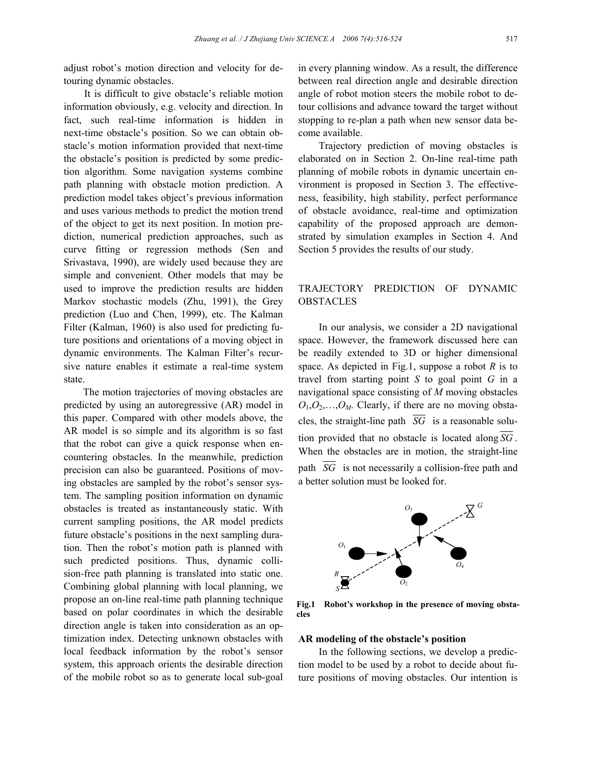adjust robot's motion direction and velocity for detouring dynamic obstacles.

It is difficult to give obstacle's reliable motion information obviously, e.g. velocity and direction. In fact, such real-time information is hidden in next-time obstacle's position. So we can obtain obstacle's motion information provided that next-time the obstacle's position is predicted by some prediction algorithm. Some navigation systems combine path planning with obstacle motion prediction. A prediction model takes object's previous information and uses various methods to predict the motion trend of the object to get its next position. In motion prediction, numerical prediction approaches, such as curve fitting or regression methods (Sen and Srivastava, 1990), are widely used because they are simple and convenient. Other models that may be used to improve the prediction results are hidden Markov stochastic models (Zhu, 1991), the Grey prediction (Luo and Chen, 1999), etc. The Kalman Filter (Kalman, 1960) is also used for predicting future positions and orientations of a moving object in dynamic environments. The Kalman Filter's recursive nature enables it estimate a real-time system state.

The motion trajectories of moving obstacles are predicted by using an autoregressive (AR) model in this paper. Compared with other models above, the AR model is so simple and its algorithm is so fast that the robot can give a quick response when encountering obstacles. In the meanwhile, prediction precision can also be guaranteed. Positions of moving obstacles are sampled by the robot's sensor system. The sampling position information on dynamic obstacles is treated as instantaneously static. With current sampling positions, the AR model predicts future obstacle's positions in the next sampling duration. Then the robot's motion path is planned with such predicted positions. Thus, dynamic collision-free path planning is translated into static one. Combining global planning with local planning, we propose an on-line real-time path planning technique based on polar coordinates in which the desirable direction angle is taken into consideration as an optimization index. Detecting unknown obstacles with local feedback information by the robot's sensor system, this approach orients the desirable direction of the mobile robot so as to generate local sub-goal

in every planning window. As a result, the difference between real direction angle and desirable direction angle of robot motion steers the mobile robot to detour collisions and advance toward the target without stopping to re-plan a path when new sensor data become available.

Trajectory prediction of moving obstacles is elaborated on in Section 2. On-line real-time path planning of mobile robots in dynamic uncertain environment is proposed in Section 3. The effectiveness, feasibility, high stability, perfect performance of obstacle avoidance, real-time and optimization capability of the proposed approach are demonstrated by simulation examples in Section 4. And Section 5 provides the results of our study.

# TRAJECTORY PREDICTION OF DYNAMIC OBSTACLES

In our analysis, we consider a 2D navigational space. However, the framework discussed here can be readily extended to 3D or higher dimensional space. As depicted in Fig.1, suppose a robot *R* is to travel from starting point *S* to goal point *G* in a navigational space consisting of *M* moving obstacles  $O_1, O_2, \ldots, O_M$ . Clearly, if there are no moving obstacles, the straight-line path  $\overline{SG}$  is a reasonable solution provided that no obstacle is located along *SG* . When the obstacles are in motion, the straight-line path *SG* is not necessarily a collision-free path and a better solution must be looked for.



**Fig.1 Robot's workshop in the presence of moving obstacles**

#### **AR modeling of the obstacle's position**

In the following sections, we develop a prediction model to be used by a robot to decide about future positions of moving obstacles. Our intention is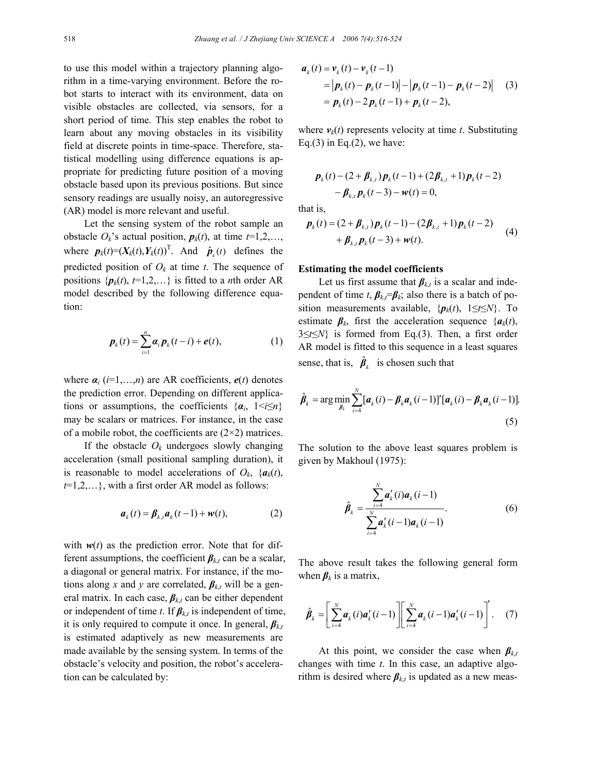to use this model within a trajectory planning algorithm in a time-varying environment. Before the robot starts to interact with its environment, data on visible obstacles are collected, via sensors, for a short period of time. This step enables the robot to learn about any moving obstacles in its visibility field at discrete points in time-space. Therefore, statistical modelling using difference equations is appropriate for predicting future position of a moving obstacle based upon its previous positions. But since sensory readings are usually noisy, an autoregressive (AR) model is more relevant and useful.

Let the sensing system of the robot sample an obstacle  $O_k$ 's actual position,  $p_k(t)$ , at time  $t=1,2,...,$ where  $p_k(t)=(X_k(t), Y_k(t))^T$ . And  $\hat{p}_k(t)$  defines the predicted position of  $O_k$  at time *t*. The sequence of positions  $\{p_k(t), t=1,2,...\}$  is fitted to a *n*th order AR model described by the following difference equation:

$$
\boldsymbol{p}_k(t) = \sum_{i=1}^n \boldsymbol{\alpha}_i \, \boldsymbol{p}_k(t-i) + \boldsymbol{e}(t), \tag{1}
$$

where  $a_i$  ( $i=1,...,n$ ) are AR coefficients,  $e(t)$  denotes the prediction error. Depending on different applications or assumptions, the coefficients  $\{\boldsymbol{a}_i, 1 \le i \le n\}$ may be scalars or matrices. For instance, in the case of a mobile robot, the coefficients are  $(2\times 2)$  matrices.

If the obstacle  $O_k$  undergoes slowly changing acceleration (small positional sampling duration), it is reasonable to model accelerations of  $O_k$ ,  $\{a_k(t)\}$ *t*=1,2,…}, with a first order AR model as follows:

$$
\boldsymbol{a}_{k}(t) = \boldsymbol{\beta}_{k,t} \boldsymbol{a}_{k}(t-1) + \boldsymbol{w}(t), \tag{2}
$$

with  $w(t)$  as the prediction error. Note that for different assumptions, the coefficient  $\beta_{k,t}$  can be a scalar, a diagonal or general matrix. For instance, if the motions along *x* and *y* are correlated,  $\beta_{k,t}$  will be a general matrix. In each case,  $\beta_{kt}$  can be either dependent or independent of time *t*. If *βk*,*t* is independent of time, it is only required to compute it once. In general,  $\beta_{kt}$ is estimated adaptively as new measurements are made available by the sensing system. In terms of the obstacle's velocity and position, the robot's acceleration can be calculated by:

$$
a_k(t) = v_k(t) - v_k(t-1)
$$
  
=  $|p_k(t) - p_k(t-1)| - |p_k(t-1) - p_k(t-2)|$  (3)  
=  $p_k(t) - 2p_k(t-1) + p_k(t-2)$ ,

where  $v_k(t)$  represents velocity at time *t*. Substituting Eq.(3) in Eq.(2), we have:

$$
p_k(t) - (2 + \beta_{k,t})p_k(t-1) + (2\beta_{k,t} + 1)p_k(t-2)
$$
  
-  $\beta_{k,t}p_k(t-3) - w(t) = 0$ ,

that is,

$$
\begin{aligned} \boldsymbol{p}_k(t) &= (2 + \boldsymbol{\beta}_{k,t}) \boldsymbol{p}_k(t-1) - (2\boldsymbol{\beta}_{k,t} + 1) \boldsymbol{p}_k(t-2) \\ &+ \boldsymbol{\beta}_{k,t} \boldsymbol{p}_k(t-3) + \boldsymbol{w}(t). \end{aligned} \tag{4}
$$

#### **Estimating the model coefficients**

Let us first assume that  $\beta_{k,t}$  is a scalar and independent of time *t*,  $\beta_{k,t} = \beta_k$ ; also there is a batch of position measurements available,  $\{p_k(t), 1 \le t \le N\}$ . To estimate  $\beta_k$ , first the acceleration sequence  $\{a_k(t)\}$ , 3≤*t*≤*N*} is formed from Eq.(3). Then, a first order AR model is fitted to this sequence in a least squares sense, that is,  $\hat{\boldsymbol{\beta}}_k$  is chosen such that

$$
\hat{\boldsymbol{\beta}}_k = \arg\min_{\boldsymbol{\beta}_k} \sum_{i=4}^N [\boldsymbol{a}_k(i) - \boldsymbol{\beta}_k \boldsymbol{a}_k(i-1)]' [\boldsymbol{a}_k(i) - \boldsymbol{\beta}_k \boldsymbol{a}_k(i-1)].
$$
\n(5)

The solution to the above least squares problem is given by Makhoul (1975):

$$
\hat{\beta}_k = \frac{\sum_{i=4}^N a'_k(i)a_k(i-1)}{\sum_{i=4}^N a'_k(i-1)a_k(i-1)}.
$$
 (6)

The above result takes the following general form when  $\beta_k$  is a matrix,

$$
\hat{\boldsymbol{\beta}}_k = \left[\sum_{i=4}^N \boldsymbol{a}_k(i)\boldsymbol{a}'_k(i-1)\right] \left[\sum_{i=4}^N \boldsymbol{a}_k(i-1)\boldsymbol{a}'_k(i-1)\right].
$$
 (7)

At this point, we consider the case when  $\beta_{k,t}$ changes with time *t*. In this case, an adaptive algorithm is desired where  $\beta_{k,t}$  is updated as a new meas-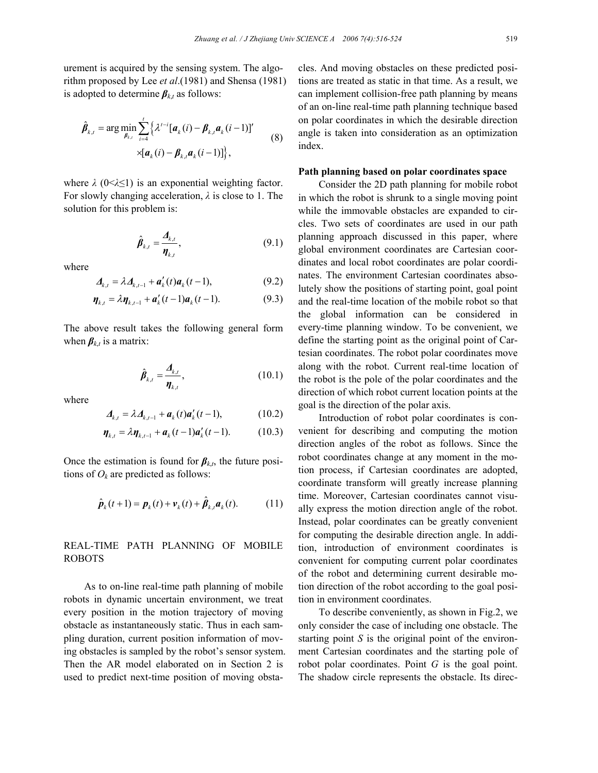urement is acquired by the sensing system. The algorithm proposed by Lee *et al*.(1981) and Shensa (1981) is adopted to determine  $\beta_{kt}$  as follows:

$$
\hat{\boldsymbol{\beta}}_{k,t} = \arg \min_{\boldsymbol{\beta}_{k,t}} \sum_{i=4}^{t} \left\{ \lambda^{t-i} [\boldsymbol{a}_k(i) - \boldsymbol{\beta}_{k,t} \boldsymbol{a}_k(i-1)]' \right. \\
\times [\boldsymbol{a}_k(i) - \boldsymbol{\beta}_{k,t} \boldsymbol{a}_k(i-1)] \right\},
$$
\n(8)

where  $\lambda$  (0< $\lambda \leq 1$ ) is an exponential weighting factor. For slowly changing acceleration, *λ* is close to 1. The solution for this problem is:

$$
\hat{\boldsymbol{\beta}}_{k,t} = \frac{\boldsymbol{\Delta}_{k,t}}{\boldsymbol{\eta}_{k,t}},
$$
\n(9.1)

where

$$
\mathbf{\Delta}_{k,t} = \lambda \mathbf{\Delta}_{k,t-1} + \mathbf{a}'_k(t) \mathbf{a}_k(t-1), \tag{9.2}
$$

$$
\boldsymbol{\eta}_{k,t} = \lambda \boldsymbol{\eta}_{k,t-1} + \boldsymbol{a}'_k(t-1)\boldsymbol{a}_k(t-1). \tag{9.3}
$$

The above result takes the following general form when  $\beta_{k,t}$  is a matrix:

$$
\hat{\beta}_{k,t} = \frac{\Delta_{k,t}}{\eta_{k,t}},
$$
\n(10.1)

where

$$
\mathbf{\Delta}_{k,t} = \lambda \mathbf{\Delta}_{k,t-1} + \mathbf{a}_k(t) \mathbf{a}_k'(t-1), \tag{10.2}
$$

$$
\boldsymbol{\eta}_{k,t} = \lambda \boldsymbol{\eta}_{k,t-1} + \boldsymbol{a}_k(t-1)\boldsymbol{a}_k'(t-1). \tag{10.3}
$$

Once the estimation is found for  $\beta_{k,t}$ , the future positions of  $O_k$  are predicted as follows:

$$
\hat{\boldsymbol{p}}_k(t+1) = \boldsymbol{p}_k(t) + \boldsymbol{v}_k(t) + \hat{\boldsymbol{\beta}}_{k,t} \boldsymbol{a}_k(t). \tag{11}
$$

# REAL-TIME PATH PLANNING OF MOBILE ROBOTS

As to on-line real-time path planning of mobile robots in dynamic uncertain environment, we treat every position in the motion trajectory of moving obstacle as instantaneously static. Thus in each sampling duration, current position information of moving obstacles is sampled by the robot's sensor system. Then the AR model elaborated on in Section 2 is used to predict next-time position of moving obsta-

cles. And moving obstacles on these predicted positions are treated as static in that time. As a result, we can implement collision-free path planning by means of an on-line real-time path planning technique based on polar coordinates in which the desirable direction angle is taken into consideration as an optimization index.

#### **Path planning based on polar coordinates space**

Consider the 2D path planning for mobile robot in which the robot is shrunk to a single moving point while the immovable obstacles are expanded to circles. Two sets of coordinates are used in our path planning approach discussed in this paper, where global environment coordinates are Cartesian coordinates and local robot coordinates are polar coordinates. The environment Cartesian coordinates absolutely show the positions of starting point, goal point and the real-time location of the mobile robot so that the global information can be considered in every-time planning window. To be convenient, we define the starting point as the original point of Cartesian coordinates. The robot polar coordinates move along with the robot. Current real-time location of the robot is the pole of the polar coordinates and the direction of which robot current location points at the goal is the direction of the polar axis.

Introduction of robot polar coordinates is convenient for describing and computing the motion direction angles of the robot as follows. Since the robot coordinates change at any moment in the motion process, if Cartesian coordinates are adopted, coordinate transform will greatly increase planning time. Moreover, Cartesian coordinates cannot visually express the motion direction angle of the robot. Instead, polar coordinates can be greatly convenient for computing the desirable direction angle. In addition, introduction of environment coordinates is convenient for computing current polar coordinates of the robot and determining current desirable motion direction of the robot according to the goal position in environment coordinates.

To describe conveniently, as shown in Fig.2, we only consider the case of including one obstacle. The starting point *S* is the original point of the environment Cartesian coordinates and the starting pole of robot polar coordinates. Point *G* is the goal point. The shadow circle represents the obstacle. Its direc-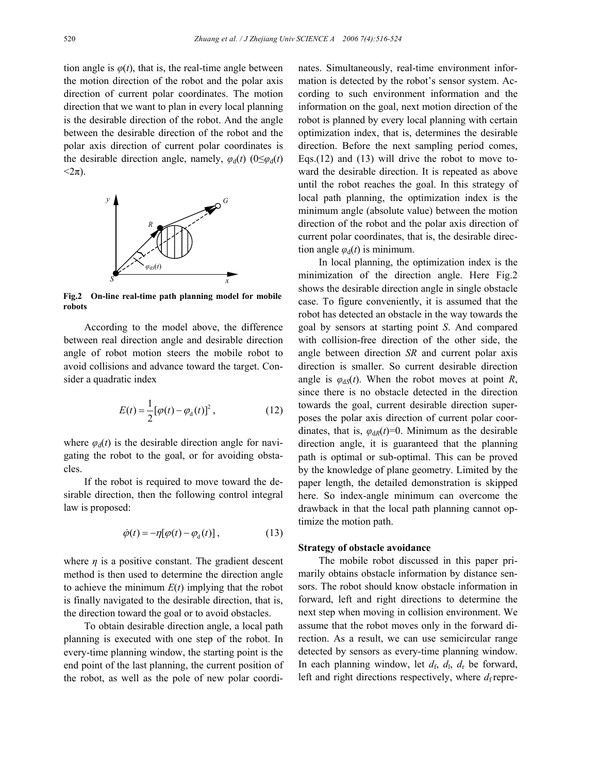tion angle is  $\varphi(t)$ , that is, the real-time angle between the motion direction of the robot and the polar axis direction of current polar coordinates. The motion direction that we want to plan in every local planning is the desirable direction of the robot. And the angle between the desirable direction of the robot and the polar axis direction of current polar coordinates is the desirable direction angle, namely,  $\varphi_d(t)$  (0 $\leq \varphi_d(t)$ )  $<2\pi$ ).



**Fig.2 On-line real-time path planning model for mobile robots** 

According to the model above, the difference between real direction angle and desirable direction angle of robot motion steers the mobile robot to avoid collisions and advance toward the target. Consider a quadratic index

$$
E(t) = \frac{1}{2} [\varphi(t) - \varphi_d(t)]^2, \qquad (12)
$$

where  $\varphi_d(t)$  is the desirable direction angle for navigating the robot to the goal, or for avoiding obstacles.

If the robot is required to move toward the desirable direction, then the following control integral law is proposed:

$$
\dot{\varphi}(t) = -\eta[\varphi(t) - \varphi_{\rm d}(t)],\qquad(13)
$$

where  $\eta$  is a positive constant. The gradient descent method is then used to determine the direction angle to achieve the minimum  $E(t)$  implying that the robot is finally navigated to the desirable direction, that is, the direction toward the goal or to avoid obstacles.

To obtain desirable direction angle, a local path planning is executed with one step of the robot. In every-time planning window, the starting point is the end point of the last planning, the current position of the robot, as well as the pole of new polar coordinates. Simultaneously, real-time environment information is detected by the robot's sensor system. According to such environment information and the information on the goal, next motion direction of the robot is planned by every local planning with certain optimization index, that is, determines the desirable direction. Before the next sampling period comes, Eqs.(12) and (13) will drive the robot to move toward the desirable direction. It is repeated as above until the robot reaches the goal. In this strategy of local path planning, the optimization index is the minimum angle (absolute value) between the motion direction of the robot and the polar axis direction of current polar coordinates, that is, the desirable direction angle  $\varphi_d(t)$  is minimum.

In local planning, the optimization index is the minimization of the direction angle. Here Fig.2 shows the desirable direction angle in single obstacle case. To figure conveniently, it is assumed that the robot has detected an obstacle in the way towards the goal by sensors at starting point *S*. And compared with collision-free direction of the other side, the angle between direction *SR* and current polar axis direction is smaller. So current desirable direction angle is  $\varphi_{dS}(t)$ . When the robot moves at point *R*, since there is no obstacle detected in the direction towards the goal, current desirable direction superposes the polar axis direction of current polar coordinates, that is,  $\varphi_{dR}(t) = 0$ . Minimum as the desirable direction angle, it is guaranteed that the planning path is optimal or sub-optimal. This can be proved by the knowledge of plane geometry. Limited by the paper length, the detailed demonstration is skipped here. So index-angle minimum can overcome the drawback in that the local path planning cannot optimize the motion path.

#### **Strategy of obstacle avoidance**

The mobile robot discussed in this paper primarily obtains obstacle information by distance sensors. The robot should know obstacle information in forward, left and right directions to determine the next step when moving in collision environment. We assume that the robot moves only in the forward direction. As a result, we can use semicircular range detected by sensors as every-time planning window. In each planning window, let  $d_f$ ,  $d_l$ ,  $d_r$  be forward, left and right directions respectively, where  $d_f$  repre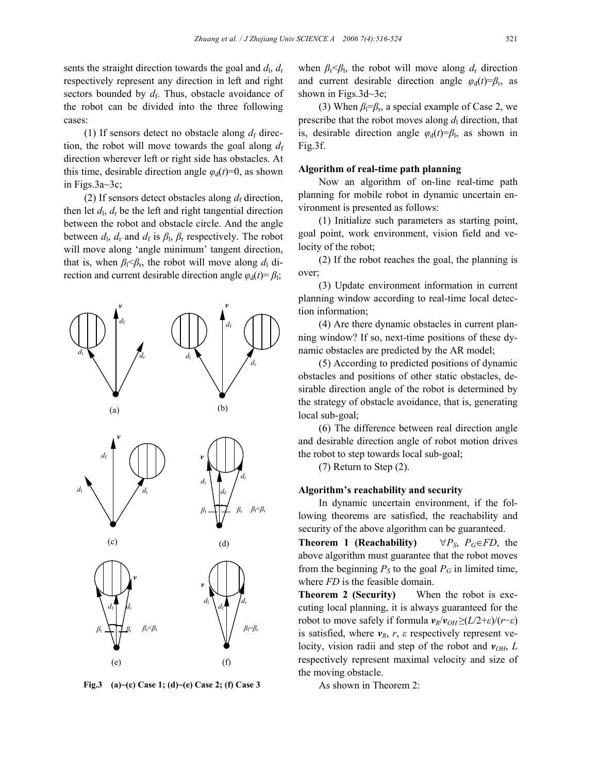sents the straight direction towards the goal and  $d<sub>l</sub>$ ,  $d<sub>r</sub>$ respectively represent any direction in left and right sectors bounded by  $d_f$ . Thus, obstacle avoidance of the robot can be divided into the three following cases:

(1) If sensors detect no obstacle along  $d_f$  direction, the robot will move towards the goal along  $d_f$ direction wherever left or right side has obstacles. At this time, desirable direction angle  $\varphi_d(t)=0$ , as shown in Figs.3a~3c;

(2) If sensors detect obstacles along  $d_f$  direction, then let  $d_l$ ,  $d_r$  be the left and right tangential direction between the robot and obstacle circle. And the angle between  $d_l$ ,  $d_r$  and  $d_f$  is  $\beta_l$ ,  $\beta_r$  respectively. The robot will move along 'angle minimum' tangent direction, that is, when  $\beta_1 \leq \beta_r$ , the robot will move along  $d_1$  direction and current desirable direction angle  $\varphi_d(t) = \beta_l$ ;



**Fig.3 (a)~(c) Case 1; (d)~(e) Case 2; (f) Case 3** 

when  $\beta_{\rm r} < \beta_{\rm l}$ , the robot will move along  $d_{\rm r}$  direction and current desirable direction angle  $\varphi_d(t) = \beta_r$ , as shown in Figs.3d~3e;

(3) When  $\beta_1 = \beta_r$ , a special example of Case 2, we prescribe that the robot moves along  $d_1$  direction, that is, desirable direction angle  $\varphi_d(t) = \beta_l$ , as shown in Fig.3f.

#### **Algorithm of real-time path planning**

Now an algorithm of on-line real-time path planning for mobile robot in dynamic uncertain environment is presented as follows:

(1) Initialize such parameters as starting point, goal point, work environment, vision field and velocity of the robot;

(2) If the robot reaches the goal, the planning is over;

(3) Update environment information in current planning window according to real-time local detection information;

(4) Are there dynamic obstacles in current planning window? If so, next-time positions of these dynamic obstacles are predicted by the AR model;

(5) According to predicted positions of dynamic obstacles and positions of other static obstacles, desirable direction angle of the robot is determined by the strategy of obstacle avoidance, that is, generating local sub-goal;

(6) The difference between real direction angle and desirable direction angle of robot motion drives the robot to step towards local sub-goal;

(7) Return to Step (2).

#### **Algorithm's reachability and security**

In dynamic uncertain environment, if the following theorems are satisfied, the reachability and security of the above algorithm can be guaranteed.

**Theorem 1 (Reachability)**  $\forall P_S$ ,  $P_G \in FD$ , the above algorithm must guarantee that the robot moves from the beginning  $P_S$  to the goal  $P_G$  in limited time, where *FD* is the feasible domain.

**Theorem 2 (Security)** When the robot is executing local planning, it is always guaranteed for the robot to move safely if formula  $v_R/v_{OH} \geq (L/2+\varepsilon)/(r-\varepsilon)$ is satisfied, where  $v_R$ ,  $r$ ,  $\varepsilon$  respectively represent velocity, vision radii and step of the robot and *vOH*, *L* respectively represent maximal velocity and size of the moving obstacle.

As shown in Theorem 2: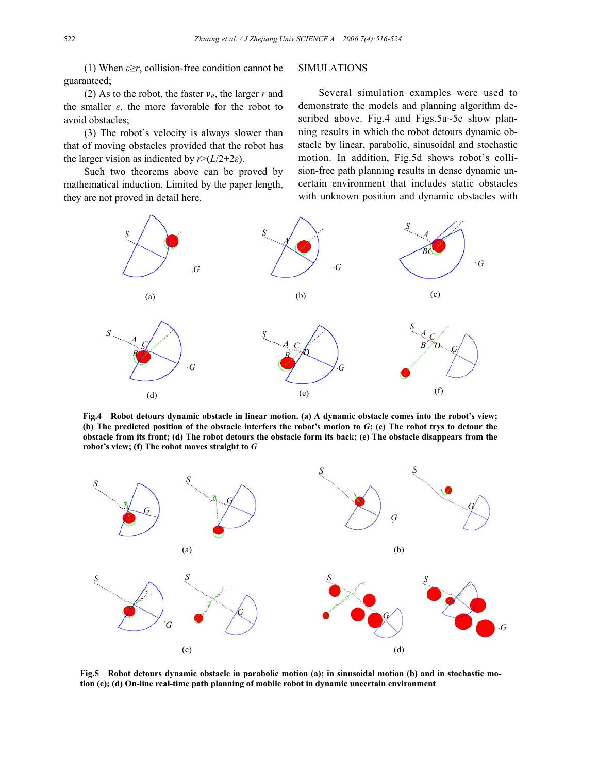(1) When *ε*≥*r*, collision-free condition cannot be guaranteed;

(2) As to the robot, the faster  $v_R$ , the larger *r* and the smaller *ε*, the more favorable for the robot to avoid obstacles;

(3) The robot's velocity is always slower than that of moving obstacles provided that the robot has the larger vision as indicated by  $r > (L/2+2\varepsilon)$ .

Such two theorems above can be proved by mathematical induction. Limited by the paper length, they are not proved in detail here.

#### SIMULATIONS

Several simulation examples were used to demonstrate the models and planning algorithm described above. Fig.4 and Figs.5a~5c show planning results in which the robot detours dynamic obstacle by linear, parabolic, sinusoidal and stochastic motion. In addition, Fig.5d shows robot's collision-free path planning results in dense dynamic uncertain environment that includes static obstacles with unknown position and dynamic obstacles with



**Fig.4 Robot detours dynamic obstacle in linear motion. (a) A dynamic obstacle comes into the robot's view; (b) The predicted position of the obstacle interfers the robot's motion to** *G***; (c) The robot trys to detour the obstacle from its front; (d) The robot detours the obstacle form its back; (e) The obstacle disappears from the robot's view; (f) The robot moves straight to** *G*



**Fig.5 Robot detours dynamic obstacle in parabolic motion (a); in sinusoidal motion (b) and in stochastic motion (c); (d) On-line real-time path planning of mobile robot in dynamic uncertain environment**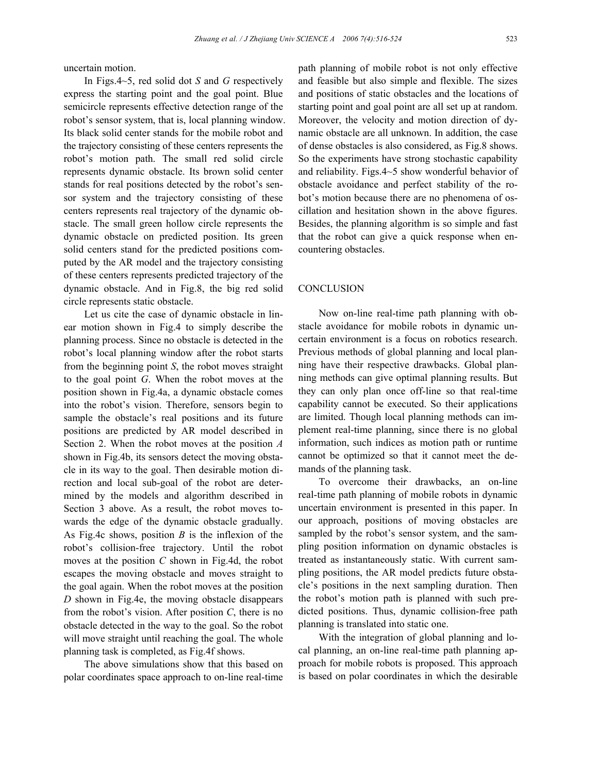uncertain motion.

In Figs.4~5, red solid dot *S* and *G* respectively express the starting point and the goal point. Blue semicircle represents effective detection range of the robot's sensor system, that is, local planning window. Its black solid center stands for the mobile robot and the trajectory consisting of these centers represents the robot's motion path. The small red solid circle represents dynamic obstacle. Its brown solid center stands for real positions detected by the robot's sensor system and the trajectory consisting of these centers represents real trajectory of the dynamic obstacle. The small green hollow circle represents the dynamic obstacle on predicted position. Its green solid centers stand for the predicted positions computed by the AR model and the trajectory consisting of these centers represents predicted trajectory of the dynamic obstacle. And in Fig.8, the big red solid circle represents static obstacle.

Let us cite the case of dynamic obstacle in linear motion shown in Fig.4 to simply describe the planning process. Since no obstacle is detected in the robot's local planning window after the robot starts from the beginning point *S*, the robot moves straight to the goal point *G*. When the robot moves at the position shown in Fig.4a, a dynamic obstacle comes into the robot's vision. Therefore, sensors begin to sample the obstacle's real positions and its future positions are predicted by AR model described in Section 2. When the robot moves at the position *A* shown in Fig.4b, its sensors detect the moving obstacle in its way to the goal. Then desirable motion direction and local sub-goal of the robot are determined by the models and algorithm described in Section 3 above. As a result, the robot moves towards the edge of the dynamic obstacle gradually. As Fig.4c shows, position *B* is the inflexion of the robot's collision-free trajectory. Until the robot moves at the position *C* shown in Fig.4d, the robot escapes the moving obstacle and moves straight to the goal again. When the robot moves at the position *D* shown in Fig.4e, the moving obstacle disappears from the robot's vision. After position *C*, there is no obstacle detected in the way to the goal. So the robot will move straight until reaching the goal. The whole planning task is completed, as Fig.4f shows.

The above simulations show that this based on polar coordinates space approach to on-line real-time

path planning of mobile robot is not only effective and feasible but also simple and flexible. The sizes and positions of static obstacles and the locations of starting point and goal point are all set up at random. Moreover, the velocity and motion direction of dynamic obstacle are all unknown. In addition, the case of dense obstacles is also considered, as Fig.8 shows. So the experiments have strong stochastic capability and reliability. Figs.4~5 show wonderful behavior of obstacle avoidance and perfect stability of the robot's motion because there are no phenomena of oscillation and hesitation shown in the above figures. Besides, the planning algorithm is so simple and fast that the robot can give a quick response when encountering obstacles.

## **CONCLUSION**

Now on-line real-time path planning with obstacle avoidance for mobile robots in dynamic uncertain environment is a focus on robotics research. Previous methods of global planning and local planning have their respective drawbacks. Global planning methods can give optimal planning results. But they can only plan once off-line so that real-time capability cannot be executed. So their applications are limited. Though local planning methods can implement real-time planning, since there is no global information, such indices as motion path or runtime cannot be optimized so that it cannot meet the demands of the planning task.

To overcome their drawbacks, an on-line real-time path planning of mobile robots in dynamic uncertain environment is presented in this paper. In our approach, positions of moving obstacles are sampled by the robot's sensor system, and the sampling position information on dynamic obstacles is treated as instantaneously static. With current sampling positions, the AR model predicts future obstacle's positions in the next sampling duration. Then the robot's motion path is planned with such predicted positions. Thus, dynamic collision-free path planning is translated into static one.

With the integration of global planning and local planning, an on-line real-time path planning approach for mobile robots is proposed. This approach is based on polar coordinates in which the desirable